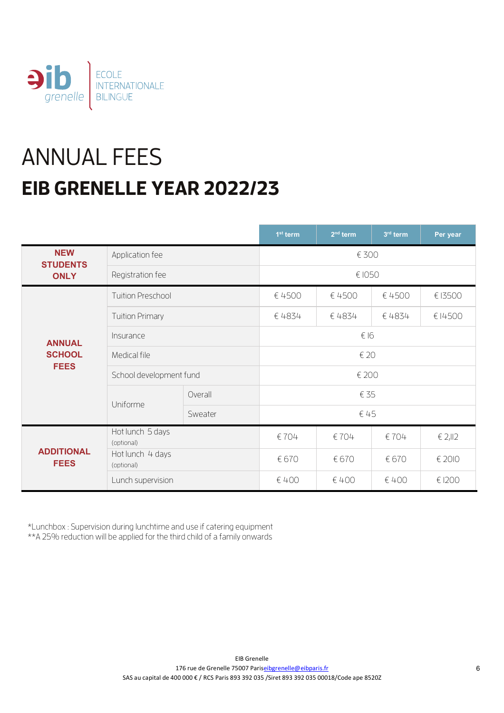

# ANNUAL FEES **EIB GRENELLE YEAR 2022/23**

|                                  |                                |         | $1st$ term | $2nd$ term | 3 <sup>rd</sup> term | Per year |  |
|----------------------------------|--------------------------------|---------|------------|------------|----------------------|----------|--|
| <b>NEW</b><br><b>STUDENTS</b>    | Application fee                |         |            | € 300      |                      |          |  |
| <b>ONLY</b>                      | Registration fee               |         | € 1050     |            |                      |          |  |
|                                  | <b>Tuition Preschool</b>       |         | € 4500     | € 4500     | € 4500               | € 13500  |  |
| <b>ANNUAL</b>                    | <b>Tuition Primary</b>         |         | € 4834     | € 4834     | €4834                | €14500   |  |
|                                  | Insurance                      |         | € 16       |            |                      |          |  |
| <b>SCHOOL</b>                    | Medical file                   |         | € 20       |            |                      |          |  |
| <b>FEES</b>                      | School development fund        |         | € 200      |            |                      |          |  |
|                                  | Uniforme                       | Overall | € 35       |            |                      |          |  |
|                                  |                                | Sweater | €45        |            |                      |          |  |
|                                  | Hot lunch 5 days<br>(optional) |         | €704       | €704       | €704                 | € 2,II2  |  |
| <b>ADDITIONAL</b><br><b>FEES</b> | Hot lunch 4 days<br>(optional) |         | € 670      | € 670      | € 670                | € 2010   |  |
|                                  | Lunch supervision              |         | € 400      | € 400      | € 400                | € 1200   |  |

\*Lunchbox : Supervision during lunchtime and use if catering equipment

\*\*A 25% reduction will be applied for the third child of a family onwards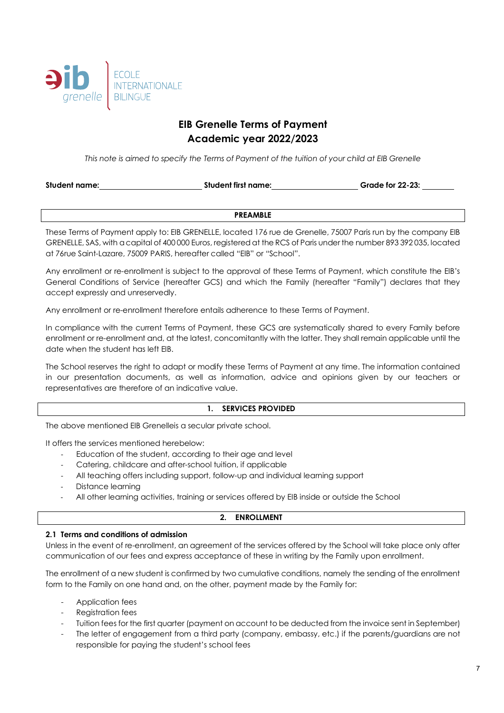

# **EIB Grenelle Terms of Payment Academic year 2022/2023**

*This note is aimed to specify the Terms of Payment of the tuition of your child at EIB Grenelle*

| Student name: | <b>Student first name:</b> | <b>Grade for 22-23:</b> |
|---------------|----------------------------|-------------------------|
|               |                            |                         |

#### **PREAMBLE**

These Terms of Payment apply to: EIB GRENELLE, located 176 rue de Grenelle, 75007 Paris run by the company EIB GRENELLE, SAS, with a capital of 400 000 Euros, registered at the RCS of Paris under the number 893 392 035, located at 76rue Saint-Lazare, 75009 PARIS, hereafter called "EIB" or "School".

Any enrollment or re-enrollment is subject to the approval of these Terms of Payment, which constitute the EIB's General Conditions of Service (hereafter GCS) and which the Family (hereafter "Family") declares that they accept expressly and unreservedly.

Any enrollment or re-enrollment therefore entails adherence to these Terms of Payment.

In compliance with the current Terms of Payment, these GCS are systematically shared to every Family before enrollment or re-enrollment and, at the latest, concomitantly with the latter. They shall remain applicable until the date when the student has left EIB.

The School reserves the right to adapt or modify these Terms of Payment at any time. The information contained in our presentation documents, as well as information, advice and opinions given by our teachers or representatives are therefore of an indicative value.

#### **1. SERVICES PROVIDED**

The above mentioned EIB Grenelleis a secular private school.

It offers the services mentioned herebelow:

- Education of the student, according to their age and level
- Catering, childcare and after-school tuition, if applicable
- All teaching offers including support, follow-up and individual learning support
- Distance learning
- All other learning activities, training or services offered by EIB inside or outside the School

#### **2. ENROLLMENT**

#### **2.1 Terms and conditions of admission**

Unless in the event of re-enrollment, an agreement of the services offered by the School will take place only after communication of our fees and express acceptance of these in writing by the Family upon enrollment.

The enrollment of a new student is confirmed by two cumulative conditions, namely the sending of the enrollment form to the Family on one hand and, on the other, payment made by the Family for:

- Application fees
- Registration fees
- Tuition fees for the first quarter (payment on account to be deducted from the invoice sent in September)
- The letter of engagement from a third party (company, embassy, etc.) if the parents/guardians are not responsible for paying the student's school fees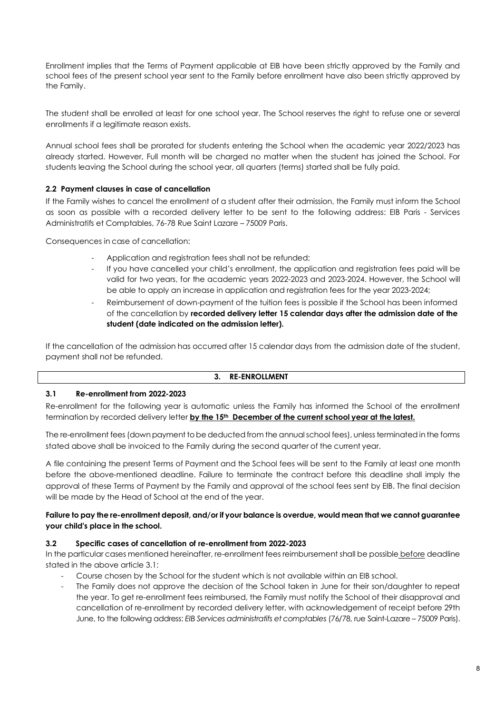Enrollment implies that the Terms of Payment applicable at EIB have been strictly approved by the Family and school fees of the present school year sent to the Family before enrollment have also been strictly approved by the Family.

The student shall be enrolled at least for one school year. The School reserves the right to refuse one or several enrollments if a legitimate reason exists.

Annual school fees shall be prorated for students entering the School when the academic year 2022/2023 has already started. However, Full month will be charged no matter when the student has joined the School. For students leaving the School during the school year, all quarters (terms) started shall be fully paid.

# **2.2 Payment clauses in case of cancellation**

If the Family wishes to cancel the enrollment of a student after their admission, the Family must inform the School as soon as possible with a recorded delivery letter to be sent to the following address: EIB Paris - Services Administratifs et Comptables, 76-78 Rue Saint Lazare – 75009 Paris.

Consequences in case of cancellation:

- Application and registration fees shall not be refunded;
- If you have cancelled your child's enrollment, the application and registration fees paid will be valid for two years, for the academic years 2022-2023 and 2023-2024. However, the School will be able to apply an increase in application and registration fees for the year 2023-2024;
- Reimbursement of down-payment of the tuition fees is possible if the School has been informed of the cancellation by **recorded delivery letter 15 calendar days after the admission date of the student (date indicated on the admission letter).**

If the cancellation of the admission has occurred after 15 calendar days from the admission date of the student, payment shall not be refunded.

#### **3. RE-ENROLLMENT**

#### **3.1 Re-enrollment from 2022-2023**

Re-enrollment for the following year is automatic unless the Family has informed the School of the enrollment termination by recorded delivery letter **by the 15th December of the current school year at the latest.**

The re-enrollment fees (down payment to be deducted from the annual school fees), unless terminated in the forms stated above shall be invoiced to the Family during the second quarter of the current year.

A file containing the present Terms of Payment and the School fees will be sent to the Family at least one month before the above-mentioned deadline. Failure to terminate the contract before this deadline shall imply the approval of these Terms of Payment by the Family and approval of the school fees sent by EIB. The final decision will be made by the Head of School at the end of the year.

#### **Failure to pay the re-enrollment deposit, and/or if your balance is overdue, would mean that we cannot guarantee your child's place in the school.**

#### **3.2 Specific cases of cancellation of re-enrollment from 2022-2023**

In the particular cases mentioned hereinafter, re-enrollment fees reimbursement shall be possible before deadline stated in the above article 3.1:

- Course chosen by the School for the student which is not available within an EIB school.
- The Family does not approve the decision of the School taken in June for their son/daughter to repeat the year. To get re-enrollment fees reimbursed, the Family must notify the School of their disapproval and cancellation of re-enrollment by recorded delivery letter, with acknowledgement of receipt before 29th June, to the following address: *EIB Services administratifs et comptables* (76/78, rue Saint-Lazare – 75009 Paris).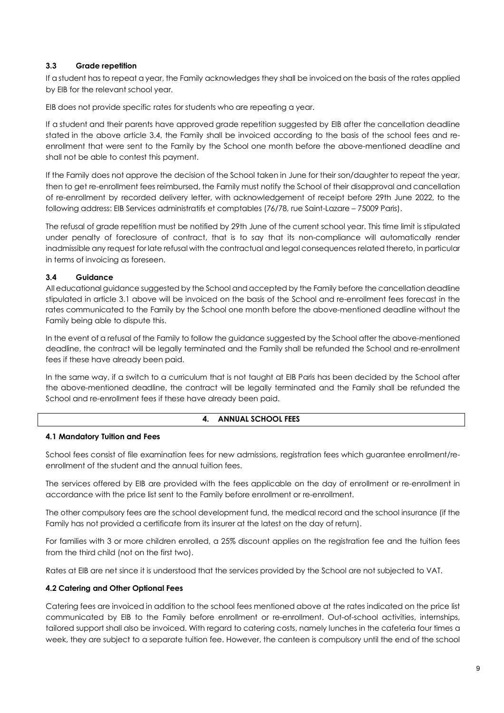#### **3.3 Grade repetition**

If a student has to repeat a year, the Family acknowledges they shall be invoiced on the basis of the rates applied by EIB for the relevant school year.

EIB does not provide specific rates for students who are repeating a year.

If a student and their parents have approved grade repetition suggested by EIB after the cancellation deadline stated in the above article 3.4, the Family shall be invoiced according to the basis of the school fees and reenrollment that were sent to the Family by the School one month before the above-mentioned deadline and shall not be able to contest this payment.

If the Family does not approve the decision of the School taken in June for their son/daughter to repeat the year, then to get re-enrollment fees reimbursed, the Family must notify the School of their disapproval and cancellation of re-enrollment by recorded delivery letter, with acknowledgement of receipt before 29th June 2022, to the following address: EIB Services administratifs et comptables (76/78, rue Saint-Lazare – 75009 Paris).

The refusal of grade repetition must be notified by 29th June of the current school year. This time limit is stipulated under penalty of foreclosure of contract, that is to say that its non-compliance will automatically render inadmissible any request for late refusal with the contractual and legal consequences related thereto, in particular in terms of invoicing as foreseen.

#### **3.4 Guidance**

All educational guidance suggested by the School and accepted by the Family before the cancellation deadline stipulated in article 3.1 above will be invoiced on the basis of the School and re-enrollment fees forecast in the rates communicated to the Family by the School one month before the above-mentioned deadline without the Family being able to dispute this.

In the event of a refusal of the Family to follow the guidance suggested by the School after the above-mentioned deadline, the contract will be legally terminated and the Family shall be refunded the School and re-enrollment fees if these have already been paid.

In the same way, if a switch to a curriculum that is not taught at EIB Paris has been decided by the School after the above-mentioned deadline, the contract will be legally terminated and the Family shall be refunded the School and re-enrollment fees if these have already been paid.

#### **4. ANNUAL SCHOOL FEES**

#### **4.1 Mandatory Tuition and Fees**

School fees consist of file examination fees for new admissions, registration fees which guarantee enrollment/reenrollment of the student and the annual tuition fees.

The services offered by EIB are provided with the fees applicable on the day of enrollment or re-enrollment in accordance with the price list sent to the Family before enrollment or re-enrollment.

The other compulsory fees are the school development fund, the medical record and the school insurance (if the Family has not provided a certificate from its insurer at the latest on the day of return).

For families with 3 or more children enrolled, a 25% discount applies on the registration fee and the tuition fees from the third child (not on the first two).

Rates at EIB are net since it is understood that the services provided by the School are not subjected to VAT.

#### **4.2 Catering and Other Optional Fees**

Catering fees are invoiced in addition to the school fees mentioned above at the rates indicated on the price list communicated by EIB to the Family before enrollment or re-enrollment. Out-of-school activities, internships, tailored support shall also be invoiced. With regard to catering costs, namely lunches in the cafeteria four times a week, they are subject to a separate tuition fee. However, the canteen is compulsory until the end of the school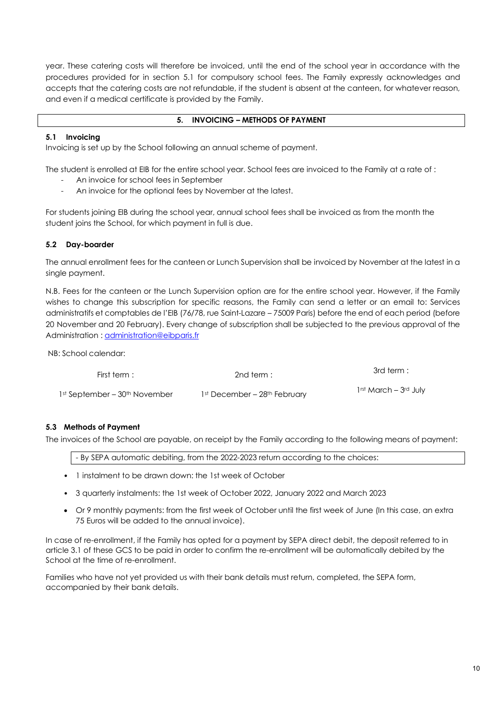year. These catering costs will therefore be invoiced, until the end of the school year in accordance with the procedures provided for in section 5.1 for compulsory school fees. The Family expressly acknowledges and accepts that the catering costs are not refundable, if the student is absent at the canteen, for whatever reason, and even if a medical certificate is provided by the Family.

#### **5. INVOICING – METHODS OF PAYMENT**

#### **5.1 Invoicing**

Invoicing is set up by the School following an annual scheme of payment.

The student is enrolled at EIB for the entire school year. School fees are invoiced to the Family at a rate of :

- An invoice for school fees in September
- An invoice for the optional fees by November at the latest.

For students joining EIB during the school year, annual school fees shall be invoiced as from the month the student joins the School, for which payment in full is due.

#### **5.2 Day-boarder**

The annual enrollment fees for the canteen or Lunch Supervision shall be invoiced by November at the latest in a single payment.

N.B. Fees for the canteen or the Lunch Supervision option are for the entire school year. However, if the Family wishes to change this subscription for specific reasons, the Family can send a letter or an email to: Services administratifs et comptables de l'EIB (76/78, rue Saint-Lazare – 75009 Paris) before the end of each period (before 20 November and 20 February). Every change of subscription shall be subjected to the previous approval of the Administration: administration@eibparis.fr

NB: School calendar:

| First term :                  | 2nd term $:$                 | 3rd term :                        |
|-------------------------------|------------------------------|-----------------------------------|
| 1st September – 30th November | 1st December – 28th February | 1 <sup>rst</sup> March - 3rd July |

#### **5.3 Methods of Payment**

The invoices of the School are payable, on receipt by the Family according to the following means of payment:

- By SEPA automatic debiting, from the 2022-2023 return according to the choices:

- 1 instalment to be drawn down: the 1st week of October
- 3 quarterly instalments: the 1st week of October 2022, January 2022 and March 2023
- Or 9 monthly payments: from the first week of October until the first week of June (In this case, an extra 75 Euros will be added to the annual invoice).

In case of re-enrollment, if the Family has opted for a payment by SEPA direct debit, the deposit referred to in article 3.1 of these GCS to be paid in order to confirm the re-enrollment will be automatically debited by the School at the time of re-enrollment.

Families who have not yet provided us with their bank details must return, completed, the SEPA form, accompanied by their bank details.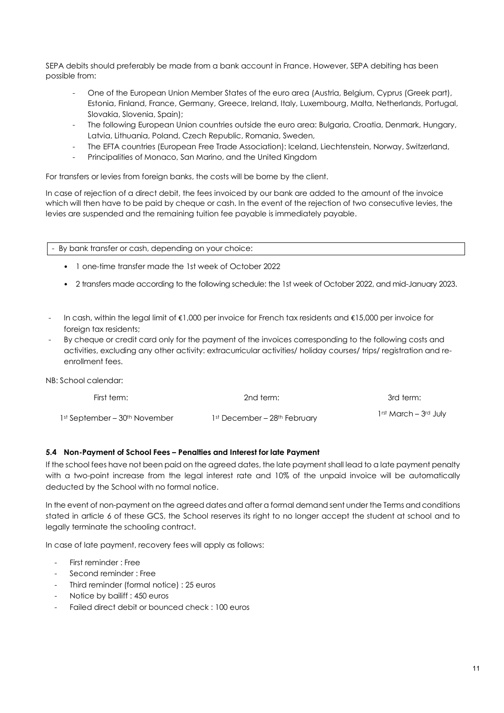SEPA debits should preferably be made from a bank account in France. However, SEPA debiting has been possible from:

- One of the European Union Member States of the euro area (Austria, Belgium, Cyprus (Greek part), Estonia, Finland, France, Germany, Greece, Ireland, Italy, Luxembourg, Malta, Netherlands, Portugal, Slovakia, Slovenia, Spain);
- The following European Union countries outside the euro area: Bulgaria, Croatia, Denmark, Hungary, Latvia, Lithuania, Poland, Czech Republic, Romania, Sweden,
- The EFTA countries (European Free Trade Association): Iceland, Liechtenstein, Norway, Switzerland,
- Principalities of Monaco, San Marino, and the United Kingdom

For transfers or levies from foreign banks, the costs will be borne by the client.

In case of rejection of a direct debit, the fees invoiced by our bank are added to the amount of the invoice which will then have to be paid by cheque or cash. In the event of the rejection of two consecutive levies, the levies are suspended and the remaining tuition fee payable is immediately payable.

- By bank transfer or cash, depending on your choice:

- 1 one-time transfer made the 1st week of October 2022
- 2 transfers made according to the following schedule: the 1st week of October 2022, and mid-January 2023.
- In cash, within the legal limit of €1,000 per invoice for French tax residents and €15,000 per invoice for foreign tax residents;
- By cheque or credit card only for the payment of the invoices corresponding to the following costs and activities, excluding any other activity: extracurricular activities/ holiday courses/ trips/ registration and reenrollment fees.

NB: School calendar:

| First term:                               | 2nd term:                    | 3rd term:                         |
|-------------------------------------------|------------------------------|-----------------------------------|
| 1st September – 30 <sup>th</sup> November | 1st December – 28th February | 1 <sup>rst</sup> March – 3rd July |

#### **5.4 Non-Payment of School Fees – Penalties and Interest for late Payment**

If the school fees have not been paid on the agreed dates, the late payment shall lead to a late payment penalty with a two-point increase from the legal interest rate and 10% of the unpaid invoice will be automatically deducted by the School with no formal notice.

In the event of non-payment on the agreed dates and after a formal demand sent under the Terms and conditions stated in article 6 of these GCS, the School reserves its right to no longer accept the student at school and to legally terminate the schooling contract.

In case of late payment, recovery fees will apply as follows:

- First reminder : Free
- Second reminder · Free
- Third reminder (formal notice) : 25 euros
- Notice by bailiff : 450 euros
- Failed direct debit or bounced check : 100 euros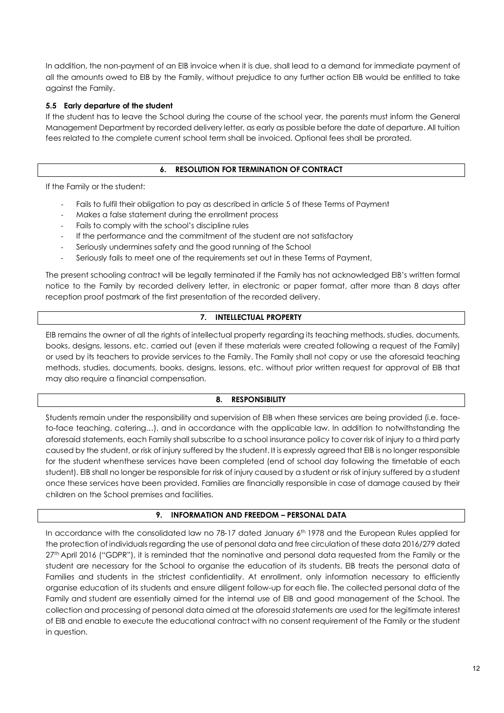In addition, the non-payment of an EIB invoice when it is due, shall lead to a demand for immediate payment of all the amounts owed to EIB by the Family, without prejudice to any further action EIB would be entitled to take against the Family.

#### **5.5 Early departure of the student**

If the student has to leave the School during the course of the school year, the parents must inform the General Management Department by recorded delivery letter, as early as possible before the date of departure. All tuition fees related to the complete current school term shall be invoiced. Optional fees shall be prorated.

#### **6. RESOLUTION FOR TERMINATION OF CONTRACT**

If the Family or the student:

- Fails to fulfil their obligation to pay as described in article 5 of these Terms of Payment
- Makes a false statement during the enrollment process
- Fails to comply with the school's discipline rules
- If the performance and the commitment of the student are not satisfactory
- Seriously undermines safety and the good running of the School
- Seriously fails to meet one of the requirements set out in these Terms of Payment,

The present schooling contract will be legally terminated if the Family has not acknowledged EIB's written formal notice to the Family by recorded delivery letter, in electronic or paper format, after more than 8 days after reception proof postmark of the first presentation of the recorded delivery.

# **7. INTELLECTUAL PROPERTY**

EIB remains the owner of all the rights of intellectual property regarding its teaching methods, studies, documents, books, designs, lessons, etc. carried out (even if these materials were created following a request of the Family) or used by its teachers to provide services to the Family. The Family shall not copy or use the aforesaid teaching methods, studies, documents, books, designs, lessons, etc. without prior written request for approval of EIB that may also require a financial compensation.

#### **8. RESPONSIBILITY**

Students remain under the responsibility and supervision of EIB when these services are being provided (i.e. faceto-face teaching, catering…), and in accordance with the applicable law. In addition to notwithstanding the aforesaid statements, each Family shall subscribe to a school insurance policy to cover risk of injury to a third party caused by the student, or risk of injury suffered by the student. It is expressly agreed that EIB is no longer responsible for the student whenthese services have been completed (end of school day following the timetable of each student). EIB shall no longer be responsible for risk of injury caused by a student or risk of injury suffered by a student once these services have been provided. Families are financially responsible in case of damage caused by their children on the School premises and facilities.

#### **9. INFORMATION AND FREEDOM – PERSONAL DATA**

In accordance with the consolidated law no 78-17 dated January 6th 1978 and the European Rules applied for the protection of individuals regarding the use of personal data and free circulation of these data 2016/279 dated 27<sup>th</sup> April 2016 ("GDPR"), it is reminded that the nominative and personal data requested from the Family or the student are necessary for the School to organise the education of its students. EIB treats the personal data of Families and students in the strictest confidentiality. At enrollment, only information necessary to efficiently organise education of its students and ensure diligent follow-up for each file. The collected personal data of the Family and student are essentially aimed for the internal use of EIB and good management of the School. The collection and processing of personal data aimed at the aforesaid statements are used for the legitimate interest of EIB and enable to execute the educational contract with no consent requirement of the Family or the student in question.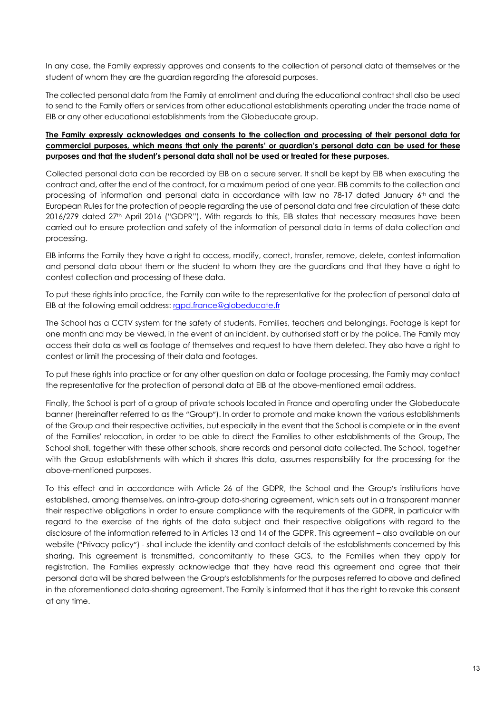In any case, the Family expressly approves and consents to the collection of personal data of themselves or the student of whom they are the guardian regarding the aforesaid purposes.

The collected personal data from the Family at enrollment and during the educational contract shall also be used to send to the Family offers or services from other educational establishments operating under the trade name of EIB or any other educational establishments from the Globeducate group.

#### **The Family expressly acknowledges and consents to the collection and processing of their personal data for commercial purposes, which means that only the parents' or guardian's personal data can be used for these purposes and that the student's personal data shall not be used or treated for these purposes.**

Collected personal data can be recorded by EIB on a secure server. It shall be kept by EIB when executing the contract and, after the end of the contract, for a maximum period of one year. EIB commits to the collection and processing of information and personal data in accordance with law no 78-17 dated January 6th and the European Rules for the protection of people regarding the use of personal data and free circulation of these data 2016/279 dated 27th April 2016 ("GDPR"). With regards to this, EIB states that necessary measures have been carried out to ensure protection and safety of the information of personal data in terms of data collection and processing.

EIB informs the Family they have a right to access, modify, correct, transfer, remove, delete, contest information and personal data about them or the student to whom they are the guardians and that they have a right to contest collection and processing of these data.

To put these rights into practice, the Family can write to the representative for the protection of personal data at EIB at the following email address: rapd.france@globeducate.fr

The School has a CCTV system for the safety of students, Families, teachers and belongings. Footage is kept for one month and may be viewed, in the event of an incident, by authorised staff or by the police. The Family may access their data as well as footage of themselves and request to have them deleted. They also have a right to contest or limit the processing of their data and footages.

To put these rights into practice or for any other question on data or footage processing, the Family may contact the representative for the protection of personal data at EIB at the above-mentioned email address.

Finally, the School is part of a group of private schools located in France and operating under the Globeducate banner (hereinafter referred to as the "Group"). In order to promote and make known the various establishments of the Group and their respective activities, but especially in the event that the School is complete or in the event of the Families' relocation, in order to be able to direct the Families to other establishments of the Group, The School shall, together with these other schools, share records and personal data collected. The School, together with the Group establishments with which it shares this data, assumes responsibility for the processing for the above-mentioned purposes.

To this effect and in accordance with Article 26 of the GDPR, the School and the Group's institutions have established, among themselves, an intra-group data-sharing agreement, which sets out in a transparent manner their respective obligations in order to ensure compliance with the requirements of the GDPR, in particular with regard to the exercise of the rights of the data subject and their respective obligations with regard to the disclosure of the information referred to in Articles 13 and 14 of the GDPR. This agreement – also available on our website ("Privacy policy") - shall include the identity and contact details of the establishments concerned by this sharing. This agreement is transmitted, concomitantly to these GCS, to the Families when they apply for registration. The Families expressly acknowledge that they have read this agreement and agree that their personal data will be shared between the Group's establishments for the purposes referred to above and defined in the aforementioned data-sharing agreement. The Family is informed that it has the right to revoke this consent at any time.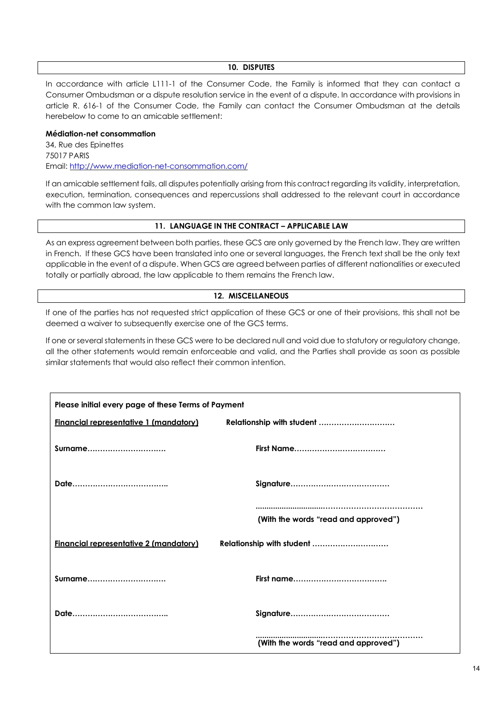#### **10. DISPUTES**

In accordance with article L111-1 of the Consumer Code, the Family is informed that they can contact a Consumer Ombudsman or a dispute resolution service in the event of a dispute. In accordance with provisions in article R. 616-1 of the Consumer Code, the Family can contact the Consumer Ombudsman at the details herebelow to come to an amicable settlement:

#### **Médiation-net consommation**

34, Rue des Epinettes 75017 PARIS Email: http://www.mediation-net-consommation.com/

If an amicable settlement fails, all disputes potentially arising from this contract regarding its validity, interpretation, execution, termination, consequences and repercussions shall addressed to the relevant court in accordance with the common law system.

#### **11. LANGUAGE IN THE CONTRACT – APPLICABLE LAW**

As an express agreement between both parties, these GCS are only governed by the French law. They are written in French. If these GCS have been translated into one or several languages, the French text shall be the only text applicable in the event of a dispute. When GCS are agreed between parties of different nationalities or executed totally or partially abroad, the law applicable to them remains the French law.

#### **12. MISCELLANEOUS**

If one of the parties has not requested strict application of these GCS or one of their provisions, this shall not be deemed a waiver to subsequently exercise one of the GCS terms.

If one or several statements in these GCS were to be declared null and void due to statutory or regulatory change, all the other statements would remain enforceable and valid, and the Parties shall provide as soon as possible similar statements that would also reflect their common intention.

| Please initial every page of these Terms of Payment |                                      |
|-----------------------------------------------------|--------------------------------------|
| <b>Financial representative 1 (mandatory)</b>       | Relationship with student            |
| <b>Surname</b>                                      |                                      |
|                                                     |                                      |
|                                                     | (With the words "read and approved") |
| <b>Financial representative 2 (mandatory)</b>       | Relationship with student            |
| Surname                                             |                                      |
|                                                     |                                      |
|                                                     | (With the words "read and approved") |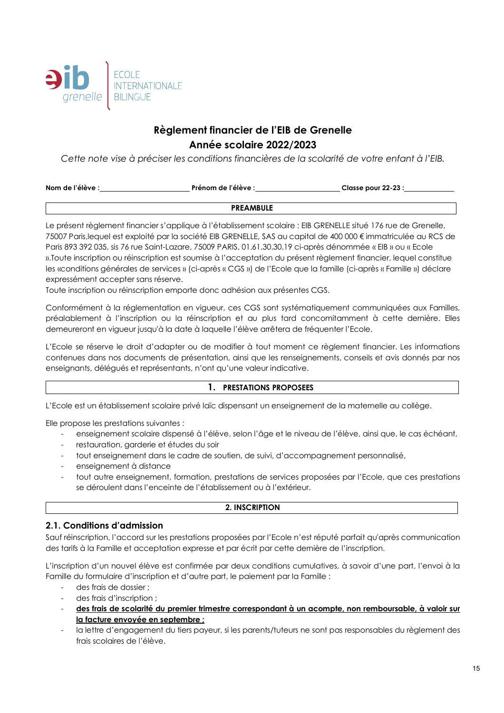

# **Règlement financier de l'EIB de Grenelle Année scolaire 2022/2023**

*Cette note vise à préciser les conditions financières de la scolarité de votre enfant à l'EIB.*

| Nom de l'élève : | Prénom de l'élève : | Classe pour 22-23 : |
|------------------|---------------------|---------------------|
|                  |                     |                     |

#### **PREAMBULE**

Le présent règlement financier s'applique à l'établissement scolaire : EIB GRENELLE situé 176 rue de Grenelle, 75007 Paris,lequel est exploité par la société EIB GRENELLE, SAS au capital de 400 000 € immatriculée au RCS de Paris 893 392 035, sis 76 rue Saint-Lazare, 75009 PARIS, 01.61.30.30.19 ci-après dénommée « EIB » ou « Ecole ».Toute inscription ou réinscription est soumise à l'acceptation du présent règlement financier, lequel constitue les «conditions générales de services » (ci-après « CGS ») de l'Ecole que la famille (ci-après « Famille ») déclare expressément accepter sans réserve.

Toute inscription ou réinscription emporte donc adhésion aux présentes CGS.

Conformément à la réglementation en vigueur, ces CGS sont systématiquement communiquées aux Familles, préalablement à l'inscription ou la réinscription et au plus tard concomitamment à cette dernière. Elles demeureront en vigueur jusqu'à la date à laquelle l'élève arrêtera de fréquenter l'Ecole.

L'Ecole se réserve le droit d'adapter ou de modifier à tout moment ce règlement financier. Les informations contenues dans nos documents de présentation, ainsi que les renseignements, conseils et avis donnés par nos enseignants, délégués et représentants, n'ont qu'une valeur indicative.

# **1. PRESTATIONS PROPOSEES**

L'Ecole est un établissement scolaire privé laïc dispensant un enseignement de la maternelle au collège.

Elle propose les prestations suivantes :

- enseignement scolaire dispensé à l'élève, selon l'âge et le niveau de l'élève, ainsi que, le cas échéant,
- restauration, garderie et études du soir
- tout enseignement dans le cadre de soutien, de suivi, d'accompagnement personnalisé,
- enseignement à distance
- tout autre enseignement, formation, prestations de services proposées par l'Ecole, que ces prestations se déroulent dans l'enceinte de l'établissement ou à l'extérieur.

#### **2. INSCRIPTION**

# **2.1. Conditions d'admission**

Sauf réinscription, l'accord sur les prestations proposées par l'Ecole n'est réputé parfait qu'après communication des tarifs à la Famille et acceptation expresse et par écrit par cette dernière de l'inscription.

L'inscription d'un nouvel élève est confirmée par deux conditions cumulatives, à savoir d'une part, l'envoi à la Famille du formulaire d'inscription et d'autre part, le paiement par la Famille :

- des frais de dossier ;
- des frais d'inscription ;
- **des frais de scolarité du premier trimestre correspondant à un acompte, non remboursable, à valoir sur la facture envoyée en septembre ;**
- la lettre d'engagement du tiers payeur, si les parents/tuteurs ne sont pas responsables du règlement des frais scolaires de l'élève.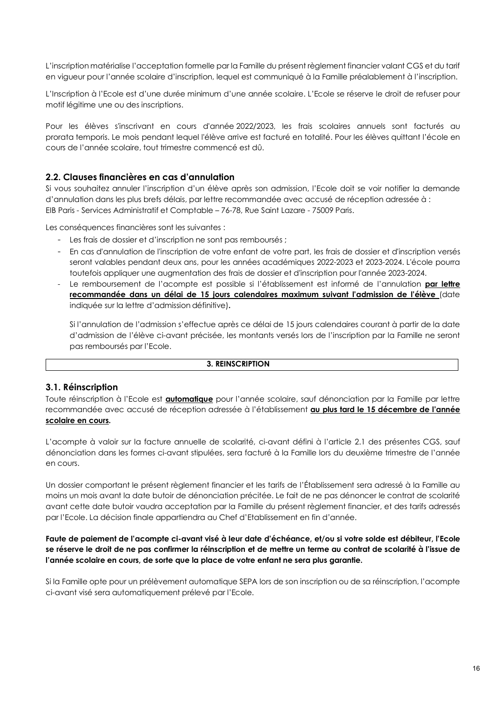L'inscription matérialise l'acceptation formelle par la Famille du présent règlement financier valant CGS et du tarif en vigueur pour l'année scolaire d'inscription, lequel est communiqué à la Famille préalablement à l'inscription.

L'Inscription à l'Ecole est d'une durée minimum d'une année scolaire. L'Ecole se réserve le droit de refuser pour motif légitime une ou des inscriptions.

Pour les élèves s'inscrivant en cours d'année 2022/2023, les frais scolaires annuels sont facturés au prorata temporis. Le mois pendant lequel l'élève arrive est facturé en totalité. Pour les élèves quittant l'école en cours de l'année scolaire, tout trimestre commencé est dû.

# **2.2. Clauses financières en cas d'annulation**

Si vous souhaitez annuler l'inscription d'un élève après son admission, l'Ecole doit se voir notifier la demande d'annulation dans les plus brefs délais, par lettre recommandée avec accusé de réception adressée à : EIB Paris - Services Administratif et Comptable – 76-78, Rue Saint Lazare - 75009 Paris.

Les conséquences financières sont les suivantes :

- Les frais de dossier et d'inscription ne sont pas remboursés ;
- En cas d'annulation de l'inscription de votre enfant de votre part, les frais de dossier et d'inscription versés seront valables pendant deux ans, pour les années académiques 2022-2023 et 2023-2024. L'école pourra toutefois appliquer une augmentation des frais de dossier et d'inscription pour l'année 2023-2024.
- Le remboursement de l'acompte est possible si l'établissement est informé de l'annulation **par lettre recommandée dans un délai de 15 jours calendaires maximum suivant l'admission de l'élève** (date indiquée sur la lettre d'admission définitive)**.**

Si l'annulation de l'admission s'effectue après ce délai de 15 jours calendaires courant à partir de la date d'admission de l'élève ci-avant précisée, les montants versés lors de l'inscription par la Famille ne seront pas remboursés par l'Ecole.

#### **3. REINSCRIPTION**

#### **3.1. Réinscription**

Toute réinscription à l'Ecole est **automatique** pour l'année scolaire, sauf dénonciation par la Famille par lettre recommandée avec accusé de réception adressée à l'établissement **au plus tard le 15 décembre de l'année scolaire en cours.**

L'acompte à valoir sur la facture annuelle de scolarité, ci-avant défini à l'article 2.1 des présentes CGS, sauf dénonciation dans les formes ci-avant stipulées, sera facturé à la Famille lors du deuxième trimestre de l'année en cours.

Un dossier comportant le présent règlement financier et les tarifs de l'Établissement sera adressé à la Famille au moins un mois avant la date butoir de dénonciation précitée. Le fait de ne pas dénoncer le contrat de scolarité avant cette date butoir vaudra acceptation par la Famille du présent règlement financier, et des tarifs adressés par l'Ecole. La décision finale appartiendra au Chef d'Etablissement en fin d'année.

#### **Faute de paiement de l'acompte ci-avant visé à leur date d'échéance, et/ou si votre solde est débiteur, l'Ecole se réserve le droit de ne pas confirmer la réinscription et de mettre un terme au contrat de scolarité à l'issue de l'année scolaire en cours, de sorte que la place de votre enfant ne sera plus garantie.**

Si la Famille opte pour un prélèvement automatique SEPA lors de son inscription ou de sa réinscription, l'acompte ci-avant visé sera automatiquement prélevé par l'Ecole.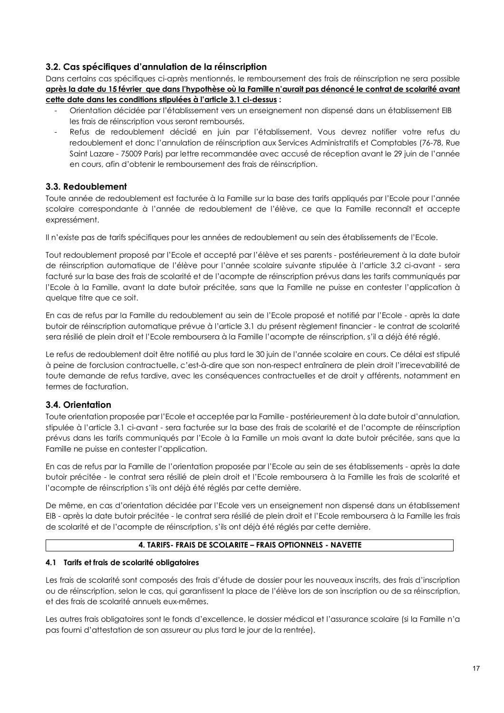# **3.2. Cas spécifiques d'annulation de la réinscription**

Dans certains cas spécifiques ci-après mentionnés, le remboursement des frais de réinscription ne sera possible **après la date du 15 février que dans l'hypothèse où la Famille n'aurait pas dénoncé le contrat de scolarité avant cette date dans les conditions stipulées à l'article 3.1 ci-dessus :**

- Orientation décidée par l'établissement vers un enseignement non dispensé dans un établissement EIB les frais de réinscription vous seront remboursés.
- Refus de redoublement décidé en juin par l'établissement. Vous devrez notifier votre refus du redoublement et donc l'annulation de réinscription aux Services Administratifs et Comptables (76-78, Rue Saint Lazare - 75009 Paris) par lettre recommandée avec accusé de réception avant le 29 juin de l'année en cours, afin d'obtenir le remboursement des frais de réinscription.

# **3.3. Redoublement**

Toute année de redoublement est facturée à la Famille sur la base des tarifs appliqués par l'Ecole pour l'année scolaire correspondante à l'année de redoublement de l'élève, ce que la Famille reconnaît et accepte expressément.

Il n'existe pas de tarifs spécifiques pour les années de redoublement au sein des établissements de l'Ecole.

Tout redoublement proposé par l'Ecole et accepté par l'élève et ses parents - postérieurement à la date butoir de réinscription automatique de l'élève pour l'année scolaire suivante stipulée à l'article 3.2 ci-avant - sera facturé sur la base des frais de scolarité et de l'acompte de réinscription prévus dans les tarifs communiqués par l'Ecole à la Famille, avant la date butoir précitée, sans que la Famille ne puisse en contester l'application à quelque titre que ce soit.

En cas de refus par la Famille du redoublement au sein de l'Ecole proposé et notifié par l'Ecole - après la date butoir de réinscription automatique prévue à l'article 3.1 du présent règlement financier - le contrat de scolarité sera résilié de plein droit et l'Ecole remboursera à la Famille l'acompte de réinscription, s'il a déjà été réglé.

Le refus de redoublement doit être notifié au plus tard le 30 juin de l'année scolaire en cours. Ce délai est stipulé à peine de forclusion contractuelle, c'est-à-dire que son non-respect entraînera de plein droit l'irrecevabilité de toute demande de refus tardive, avec les conséquences contractuelles et de droit y afférents, notamment en termes de facturation.

# **3.4. Orientation**

Toute orientation proposée par l'Ecole et acceptée par la Famille - postérieurement à la date butoir d'annulation, stipulée à l'article 3.1 ci-avant - sera facturée sur la base des frais de scolarité et de l'acompte de réinscription prévus dans les tarifs communiqués par l'Ecole à la Famille un mois avant la date butoir précitée, sans que la Famille ne puisse en contester l'application.

En cas de refus par la Famille de l'orientation proposée par l'Ecole au sein de ses établissements - après la date butoir précitée - le contrat sera résilié de plein droit et l'Ecole remboursera à la Famille les frais de scolarité et l'acompte de réinscription s'ils ont déjà été réglés par cette dernière.

De même, en cas d'orientation décidée par l'Ecole vers un enseignement non dispensé dans un établissement EIB - après la date butoir précitée - le contrat sera résilié de plein droit et l'Ecole remboursera à la Famille les frais de scolarité et de l'acompte de réinscription, s'ils ont déjà été réglés par cette dernière.

#### **4. TARIFS- FRAIS DE SCOLARITE – FRAIS OPTIONNELS - NAVETTE**

#### **4.1 Tarifs et frais de scolarité obligatoires**

Les frais de scolarité sont composés des frais d'étude de dossier pour les nouveaux inscrits, des frais d'inscription ou de réinscription, selon le cas, qui garantissent la place de l'élève lors de son inscription ou de sa réinscription, et des frais de scolarité annuels eux-mêmes.

Les autres frais obligatoires sont le fonds d'excellence, le dossier médical et l'assurance scolaire (si la Famille n'a pas fourni d'attestation de son assureur au plus tard le jour de la rentrée).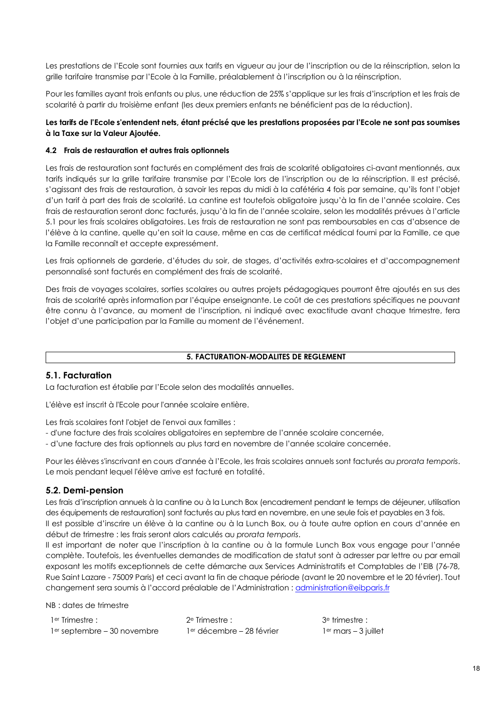Les prestations de l'Ecole sont fournies aux tarifs en vigueur au jour de l'inscription ou de la réinscription, selon la grille tarifaire transmise par l'Ecole à la Famille, préalablement à l'inscription ou à la réinscription.

Pour les familles ayant trois enfants ou plus, une réduction de 25% s'applique sur les frais d'inscription et les frais de scolarité à partir du troisième enfant (les deux premiers enfants ne bénéficient pas de la réduction).

#### **Les tarifs de l'Ecole s'entendent nets, étant précisé que les prestations proposées par l'Ecole ne sont pas soumises à la Taxe sur la Valeur Ajoutée.**

#### **4.2 Frais de restauration et autres frais optionnels**

Les frais de restauration sont facturés en complément des frais de scolarité obligatoires ci-avant mentionnés, aux tarifs indiqués sur la grille tarifaire transmise par l'Ecole lors de l'inscription ou de la réinscription. Il est précisé, s'agissant des frais de restauration, à savoir les repas du midi à la cafétéria 4 fois par semaine, qu'ils font l'objet d'un tarif à part des frais de scolarité. La cantine est toutefois obligatoire jusqu'à la fin de l'année scolaire. Ces frais de restauration seront donc facturés, jusqu'à la fin de l'année scolaire, selon les modalités prévues à l'article 5.1 pour les frais scolaires obligatoires. Les frais de restauration ne sont pas remboursables en cas d'absence de l'élève à la cantine, quelle qu'en soit la cause, même en cas de certificat médical fourni par la Famille, ce que la Famille reconnaît et accepte expressément.

Les frais optionnels de garderie, d'études du soir, de stages, d'activités extra-scolaires et d'accompagnement personnalisé sont facturés en complément des frais de scolarité.

Des frais de voyages scolaires, sorties scolaires ou autres projets pédagogiques pourront être ajoutés en sus des frais de scolarité après information par l'équipe enseignante. Le coût de ces prestations spécifiques ne pouvant être connu à l'avance, au moment de l'inscription, ni indiqué avec exactitude avant chaque trimestre, fera l'objet d'une participation par la Famille au moment de l'événement.

#### **5. FACTURATION-MODALITES DE REGLEMENT**

#### **5.1. Facturation**

La facturation est établie par l'Ecole selon des modalités annuelles.

L'élève est inscrit à l'Ecole pour l'année scolaire entière.

Les frais scolaires font l'objet de l'envoi aux familles :

- d'une facture des frais scolaires obligatoires en septembre de l'année scolaire concernée,
- d'une facture des frais optionnels au plus tard en novembre de l'année scolaire concernée.

Pour les élèves s'inscrivant en cours d'année à l'Ecole, les frais scolaires annuels sont facturés au *prorata temporis*. Le mois pendant lequel l'élève arrive est facturé en totalité.

# **5.2. Demi-pension**

Les frais d'inscription annuels à la cantine ou à la Lunch Box (encadrement pendant le temps de déjeuner, utilisation des équipements de restauration) sont facturés au plus tard en novembre, en une seule fois et payables en 3 fois. Il est possible d'inscrire un élève à la cantine ou à la Lunch Box, ou à toute autre option en cours d'année en

début de trimestre : les frais seront alors calculés au *prorata temporis*. Il est important de noter que l'inscription à la cantine ou à la formule Lunch Box vous engage pour l'année

complète. Toutefois, les éventuelles demandes de modification de statut sont à adresser par lettre ou par email exposant les motifs exceptionnels de cette démarche aux Services Administratifs et Comptables de l'EIB (76-78, Rue Saint Lazare - 75009 Paris) et ceci avant la fin de chaque période (avant le 20 novembre et le 20 février). Tout changement sera soumis à l'accord préalable de l'Administration : administration@eibparis.fr

NB : dates de trimestre

| 1 <sup>er</sup> Trimestre :   | 2° Trimestre :                        | 3 <sup>e</sup> trimestre : |
|-------------------------------|---------------------------------------|----------------------------|
| $1er$ septembre – 30 novembre | 1 <sup>er</sup> décembre – 28 février | $1er$ mars $-3$ juillet    |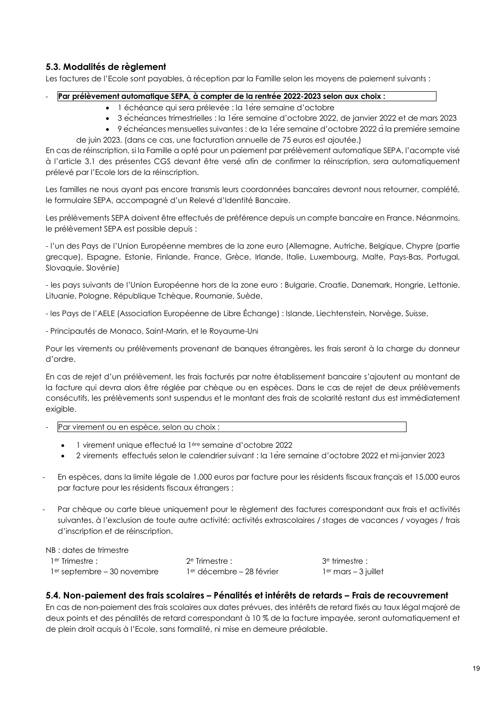# **5.3. Modalités de règlement**

Les factures de l'Ecole sont payables, à réception par la Famille selon les moyens de paiement suivants :

#### - **Par prélèvement automatique SEPA, à compter de la rentrée 2022-2023 selon aux choix :**

- 1 échéance qui sera prélevée : la 1ère semaine d'octobre
- 3 échéances trimestrielles : la 1ère semaine d'octobre 2022, de janvier 2022 et de mars 2023
- 9 échéances mensuelles suivantes : de la 1 ère semaine d'octobre 2022 à la première semaine de juin 2023. (dans ce cas, une facturation annuelle de 75 euros est ajoutée.)

En cas de réinscription, si la Famille a opté pour un paiement par prélèvement automatique SEPA, l'acompte visé à l'article 3.1 des présentes CGS devant être versé afin de confirmer la réinscription, sera automatiquement prélevé par l'Ecole lors de la réinscription.

Les familles ne nous ayant pas encore transmis leurs coordonnées bancaires devront nous retourner, complété, le formulaire SEPA, accompagné d'un Relevé d'Identité Bancaire.

Les prélèvements SEPA doivent être effectués de préférence depuis un compte bancaire en France. Néanmoins, le prélèvement SEPA est possible depuis :

- l'un des Pays de l'Union Européenne membres de la zone euro (Allemagne, Autriche, Belgique, Chypre (partie grecque), Espagne, Estonie, Finlande, France, Grèce, Irlande, Italie, Luxembourg, Malte, Pays-Bas, Portugal, Slovaquie, Slovénie)

- les pays suivants de l'Union Européenne hors de la zone euro : Bulgarie, Croatie, Danemark, Hongrie, Lettonie, Lituanie, Pologne, République Tchèque, Roumanie, Suède,

- les Pays de l'AELE (Association Européenne de Libre Échange) : Islande, Liechtenstein, Norvège, Suisse,

- Principautés de Monaco, Saint-Marin, et le Royaume-Uni

Pour les virements ou prélèvements provenant de banques étrangères, les frais seront à la charge du donneur d'ordre.

En cas de rejet d'un prélèvement, les frais facturés par notre établissement bancaire s'ajoutent au montant de la facture qui devra alors être réglée par chèque ou en espèces. Dans le cas de rejet de deux prélèvements consécutifs, les prélèvements sont suspendus et le montant des frais de scolarité restant dus est immédiatement exigible.

- Par virement ou en espèce, selon au choix :
	- 1 virement unique effectué la 1ère semaine d'octobre 2022
	- 2 virements effectués selon le calendrier suivant : la 1ère semaine d'octobre 2022 et mi-janvier 2023
- En espèces, dans la limite légale de 1.000 euros par facture pour les résidents fiscaux français et 15.000 euros par facture pour les résidents fiscaux étrangers ;
- Par chèque ou carte bleue uniquement pour le règlement des factures correspondant aux frais et activités suivantes, à l'exclusion de toute autre activité: activités extrascolaires / stages de vacances / voyages / frais d'inscription et de réinscription.

trimestre :  $mars - 3$  juillet

NB : dates de trimestre

| 1 <sup>er</sup> Trimestre :   | $2e$ Trimestre :                      | 3e   |
|-------------------------------|---------------------------------------|------|
| $1er$ septembre – 30 novembre | 1 <sup>er</sup> décembre – 28 février | ] ei |

# **5.4. Non-paiement des frais scolaires – Pénalités et intérêts de retards – Frais de recouvrement**

En cas de non-paiement des frais scolaires aux dates prévues, des intérêts de retard fixés au taux légal majoré de deux points et des pénalités de retard correspondant à 10 % de la facture impayée, seront automatiquement et de plein droit acquis à l'Ecole, sans formalité, ni mise en demeure préalable.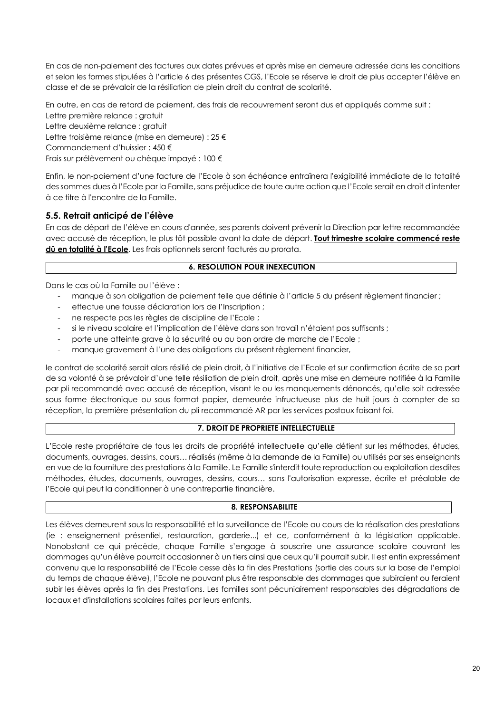En cas de non-paiement des factures aux dates prévues et après mise en demeure adressée dans les conditions et selon les formes stipulées à l'article 6 des présentes CGS, l'Ecole se réserve le droit de plus accepter l'élève en classe et de se prévaloir de la résiliation de plein droit du contrat de scolarité.

En outre, en cas de retard de paiement, des frais de recouvrement seront dus et appliqués comme suit : Lettre première relance : gratuit Lettre deuxième relance : gratuit Lettre troisième relance (mise en demeure) : 25 € Commandement d'huissier : 450 € Frais sur prélèvement ou chèque impayé : 100 €

Enfin, le non-paiement d'une facture de l'Ecole à son échéance entraînera l'exigibilité immédiate de la totalité des sommes dues à l'Ecole par la Famille, sans préjudice de toute autre action que l'Ecole serait en droit d'intenter à ce titre à l'encontre de la Famille.

# **5.5. Retrait anticipé de l'élève**

En cas de départ de l'élève en cours d'année, ses parents doivent prévenir la Direction par lettre recommandée avec accusé de réception, le plus tôt possible avant la date de départ. **Tout trimestre scolaire commencé reste dû en totalité à l'Ecole**. Les frais optionnels seront facturés au prorata.

#### **6. RESOLUTION POUR INEXECUTION**

Dans le cas où la Famille ou l'élève :

- manque à son obligation de paiement telle que définie à l'article 5 du présent règlement financier ;
- effectue une fausse déclaration lors de l'Inscription ;
- ne respecte pas les règles de discipline de l'Ecole ;
- si le niveau scolaire et l'implication de l'élève dans son travail n'étaient pas suffisants ;
- porte une atteinte grave à la sécurité ou au bon ordre de marche de l'Ecole ;
- manque gravement à l'une des obligations du présent règlement financier,

le contrat de scolarité serait alors résilié de plein droit, à l'initiative de l'Ecole et sur confirmation écrite de sa part de sa volonté à se prévaloir d'une telle résiliation de plein droit, après une mise en demeure notifiée à la Famille par pli recommandé avec accusé de réception, visant le ou les manquements dénoncés, qu'elle soit adressée sous forme électronique ou sous format papier, demeurée infructueuse plus de huit jours à compter de sa réception, la première présentation du pli recommandé AR par les services postaux faisant foi.

#### **7. DROIT DE PROPRIETE INTELLECTUELLE**

L'Ecole reste propriétaire de tous les droits de propriété intellectuelle qu'elle détient sur les méthodes, études, documents, ouvrages, dessins, cours… réalisés (même à la demande de la Famille) ou utilisés par ses enseignants en vue de la fourniture des prestations à la Famille. Le Famille s'interdit toute reproduction ou exploitation desdites méthodes, études, documents, ouvrages, dessins, cours… sans l'autorisation expresse, écrite et préalable de l'Ecole qui peut la conditionner à une contrepartie financière.

#### **8. RESPONSABILITE**

Les élèves demeurent sous la responsabilité et la surveillance de l'Ecole au cours de la réalisation des prestations (ie : enseignement présentiel, restauration, garderie...) et ce, conformément à la législation applicable. Nonobstant ce qui précède, chaque Famille s'engage à souscrire une assurance scolaire couvrant les dommages qu'un élève pourrait occasionner à un tiers ainsi que ceux qu'il pourrait subir. Il est enfin expressément convenu que la responsabilité de l'Ecole cesse dès la fin des Prestations (sortie des cours sur la base de l'emploi du temps de chaque élève), l'Ecole ne pouvant plus être responsable des dommages que subiraient ou feraient subir les élèves après la fin des Prestations. Les familles sont pécuniairement responsables des dégradations de locaux et d'installations scolaires faites par leurs enfants.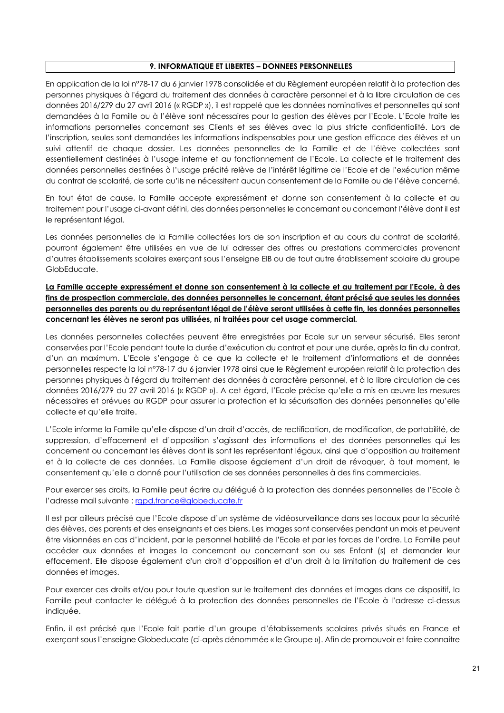#### **9. INFORMATIQUE ET LIBERTES – DONNEES PERSONNELLES**

En application de la loi n°78-17 du 6 janvier 1978 consolidée et du Règlement européen relatif à la protection des personnes physiques à l'égard du traitement des données à caractère personnel et à la libre circulation de ces données 2016/279 du 27 avril 2016 (« RGDP »), il est rappelé que les données nominatives et personnelles qui sont demandées à la Famille ou à l'élève sont nécessaires pour la gestion des élèves par l'Ecole. L'Ecole traite les informations personnelles concernant ses Clients et ses élèves avec la plus stricte confidentialité. Lors de l'inscription, seules sont demandées les informations indispensables pour une gestion efficace des élèves et un suivi attentif de chaque dossier. Les données personnelles de la Famille et de l'élève collectées sont essentiellement destinées à l'usage interne et au fonctionnement de l'Ecole. La collecte et le traitement des données personnelles destinées à l'usage précité relève de l'intérêt légitime de l'Ecole et de l'exécution même du contrat de scolarité, de sorte qu'ils ne nécessitent aucun consentement de la Famille ou de l'élève concerné.

En tout état de cause, la Famille accepte expressément et donne son consentement à la collecte et au traitement pour l'usage ci-avant défini, des données personnelles le concernant ou concernant l'élève dont il est le représentant légal.

Les données personnelles de la Famille collectées lors de son inscription et au cours du contrat de scolarité, pourront également être utilisées en vue de lui adresser des offres ou prestations commerciales provenant d'autres établissements scolaires exerçant sous l'enseigne EIB ou de tout autre établissement scolaire du groupe GlobEducate.

**La Famille accepte expressément et donne son consentement à la collecte et au traitement par l'Ecole, à des fins de prospection commerciale, des données personnelles le concernant, étant précisé que seules les données personnelles des parents ou du représentant légal de l'élève seront utilisées à cette fin, les données personnelles concernant les élèves ne seront pas utilisées, ni traitées pour cet usage commercial.** 

Les données personnelles collectées peuvent être enregistrées par Ecole sur un serveur sécurisé. Elles seront conservées par l'Ecole pendant toute la durée d'exécution du contrat et pour une durée, après la fin du contrat, d'un an maximum. L'Ecole s'engage à ce que la collecte et le traitement d'informations et de données personnelles respecte la loi n°78-17 du 6 janvier 1978 ainsi que le Règlement européen relatif à la protection des personnes physiques à l'égard du traitement des données à caractère personnel, et à la libre circulation de ces données 2016/279 du 27 avril 2016 (« RGDP »). A cet égard, l'Ecole précise qu'elle a mis en œuvre les mesures nécessaires et prévues au RGDP pour assurer la protection et la sécurisation des données personnelles qu'elle collecte et qu'elle traite.

L'Ecole informe la Famille qu'elle dispose d'un droit d'accès, de rectification, de modification, de portabilité, de suppression, d'effacement et d'opposition s'agissant des informations et des données personnelles qui les concernent ou concernant les élèves dont ils sont les représentant légaux, ainsi que d'opposition au traitement et à la collecte de ces données. La Famille dispose également d'un droit de révoquer, à tout moment, le consentement qu'elle a donné pour l'utilisation de ses données personnelles à des fins commerciales.

Pour exercer ses droits, la Famille peut écrire au délégué à la protection des données personnelles de l'Ecole à l'adresse mail suivante : rgpd.france@globeducate.fr

Il est par ailleurs précisé que l'Ecole dispose d'un système de vidéosurveillance dans ses locaux pour la sécurité des élèves, des parents et des enseignants et des biens. Les images sont conservées pendant un mois et peuvent être visionnées en cas d'incident, par le personnel habilité de l'Ecole et par les forces de l'ordre. La Famille peut accéder aux données et images la concernant ou concernant son ou ses Enfant (s) et demander leur effacement. Elle dispose également d'un droit d'opposition et d'un droit à la limitation du traitement de ces données et images.

Pour exercer ces droits et/ou pour toute question sur le traitement des données et images dans ce dispositif, la Famille peut contacter le délégué à la protection des données personnelles de l'Ecole à l'adresse ci-dessus indiquée.

Enfin, il est précisé que l'Ecole fait partie d'un groupe d'établissements scolaires privés situés en France et exerçant sous l'enseigne Globeducate (ci-après dénommée « le Groupe »). Afin de promouvoir et faire connaitre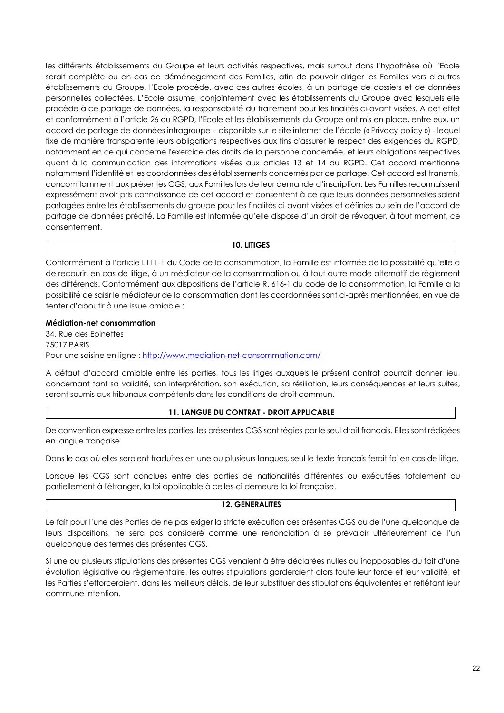les différents établissements du Groupe et leurs activités respectives, mais surtout dans l'hypothèse où l'Ecole serait complète ou en cas de déménagement des Familles, afin de pouvoir diriger les Familles vers d'autres établissements du Groupe, l'Ecole procède, avec ces autres écoles, à un partage de dossiers et de données personnelles collectées. L'Ecole assume, conjointement avec les établissements du Groupe avec lesquels elle procède à ce partage de données, la responsabilité du traitement pour les finalités ci-avant visées. A cet effet et conformément à l'article 26 du RGPD, l'Ecole et les établissements du Groupe ont mis en place, entre eux, un accord de partage de données intragroupe – disponible sur le site internet de l'école (« Privacy policy ») - lequel fixe de manière transparente leurs obligations respectives aux fins d'assurer le respect des exigences du RGPD, notamment en ce qui concerne l'exercice des droits de la personne concernée, et leurs obligations respectives quant à la communication des informations visées aux articles 13 et 14 du RGPD. Cet accord mentionne notamment l'identité et les coordonnées des établissements concernés par ce partage. Cet accord est transmis, concomitamment aux présentes CGS, aux Familles lors de leur demande d'inscription. Les Familles reconnaissent expressément avoir pris connaissance de cet accord et consentent à ce que leurs données personnelles soient partagées entre les établissements du groupe pour les finalités ci-avant visées et définies au sein de l'accord de partage de données précité. La Famille est informée qu'elle dispose d'un droit de révoquer, à tout moment, ce consentement.

#### **10. LITIGES**

Conformément à l'article L111-1 du Code de la consommation, la Famille est informée de la possibilité qu'elle a de recourir, en cas de litige, à un médiateur de la consommation ou à tout autre mode alternatif de règlement des différends. Conformément aux dispositions de l'article R. 616-1 du code de la consommation, la Famille a la possibilité de saisir le médiateur de la consommation dont les coordonnées sont ci-après mentionnées, en vue de tenter d'aboutir à une issue amiable :

#### **Médiation-net consommation**

34, Rue des Epinettes 75017 PARIS Pour une saisine en ligne : http://www.mediation-net-consommation.com/

A défaut d'accord amiable entre les parties, tous les litiges auxquels le présent contrat pourrait donner lieu, concernant tant sa validité, son interprétation, son exécution, sa résiliation, leurs conséquences et leurs suites, seront soumis aux tribunaux compétents dans les conditions de droit commun.

# **11. LANGUE DU CONTRAT - DROIT APPLICABLE**

De convention expresse entre les parties, les présentes CGS sont régies par le seul droit français. Elles sont rédigées en langue française.

Dans le cas où elles seraient traduites en une ou plusieurs langues, seul le texte français ferait foi en cas de litige.

Lorsque les CGS sont conclues entre des parties de nationalités différentes ou exécutées totalement ou partiellement à l'étranger, la loi applicable à celles-ci demeure la loi française.

# **12. GENERALITES**

Le fait pour l'une des Parties de ne pas exiger la stricte exécution des présentes CGS ou de l'une quelconque de leurs dispositions, ne sera pas considéré comme une renonciation à se prévaloir ultérieurement de l'un quelconque des termes des présentes CGS.

Si une ou plusieurs stipulations des présentes CGS venaient à être déclarées nulles ou inopposables du fait d'une évolution législative ou règlementaire, les autres stipulations garderaient alors toute leur force et leur validité, et les Parties s'efforceraient, dans les meilleurs délais, de leur substituer des stipulations équivalentes et reflétant leur commune intention.